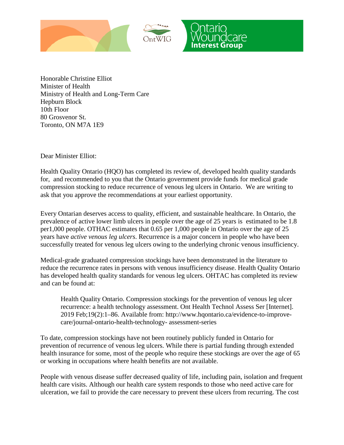



Honorable Christine Elliot Minister of Health Ministry of Health and Long-Term Care Hepburn Block 10th Floor 80 Grosvenor St. Toronto, ON M7A 1E9

Dear Minister Elliot:

Health Quality Ontario (HQO) has completed its review of, developed health quality standards for, and recommended to you that the Ontario government provide funds for medical grade compression stocking to reduce recurrence of venous leg ulcers in Ontario. We are writing to ask that you approve the recommendations at your earliest opportunity.

Every Ontarian deserves access to quality, efficient, and sustainable healthcare. In Ontario, the prevalence of active lower limb ulcers in people over the age of 25 years is estimated to be 1.8 per1,000 people. OTHAC estimates that 0.65 per 1,000 people in Ontario over the age of 25 years have *active venous leg ulcers*. Recurrence is a major concern in people who have been successfully treated for venous leg ulcers owing to the underlying chronic venous insufficiency.

Medical-grade graduated compression stockings have been demonstrated in the literature to reduce the recurrence rates in persons with venous insufficiency disease. Health Quality Ontario has developed health quality standards for venous leg ulcers. OHTAC has completed its review and can be found at:

Health Quality Ontario. Compression stockings for the prevention of venous leg ulcer recurrence: a health technology assessment. Ont Health Technol Assess Ser [Internet]. 2019 Feb;19(2):1–86. Available from: http://www.hqontario.ca/evidence-to-improvecare/journal-ontario-health-technology- assessment-series

To date, compression stockings have not been routinely publicly funded in Ontario for prevention of recurrence of venous leg ulcers. While there is partial funding through extended health insurance for some, most of the people who require these stockings are over the age of 65 or working in occupations where health benefits are not available.

People with venous disease suffer decreased quality of life, including pain, isolation and frequent health care visits. Although our health care system responds to those who need active care for ulceration, we fail to provide the care necessary to prevent these ulcers from recurring. The cost